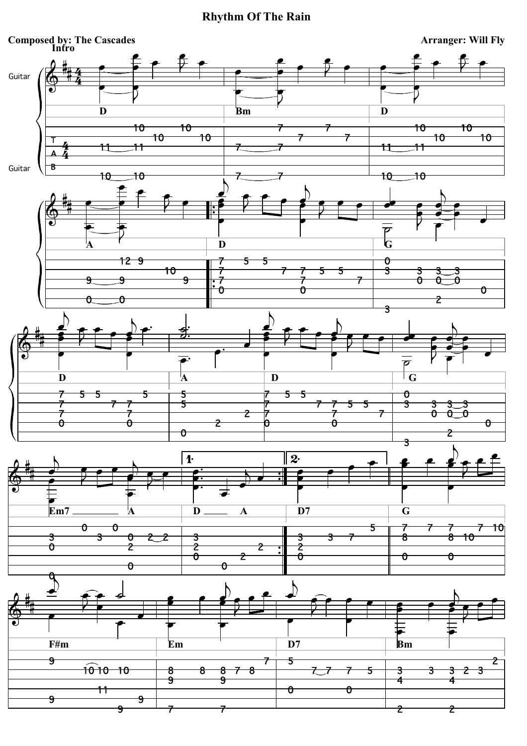## **Rhythm Of The Rain**